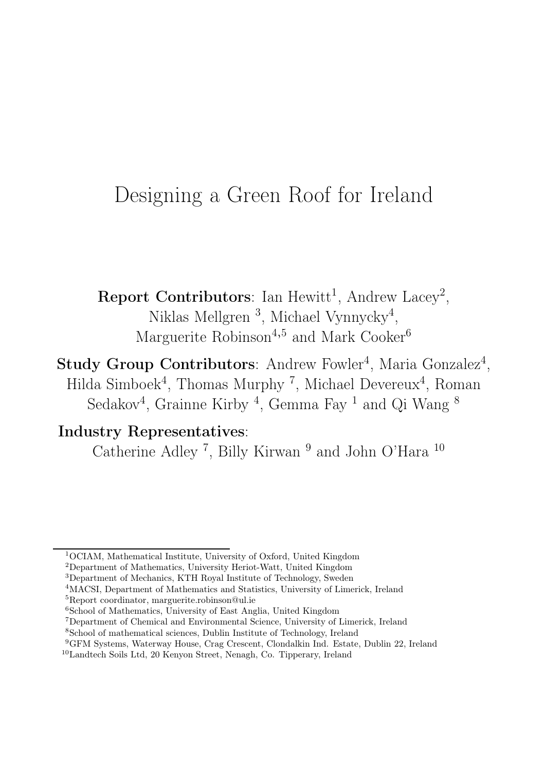## Designing a Green Roof for Ireland

Report Contributors: Ian Hewitt<sup>1</sup>, Andrew Lacey<sup>2</sup>, Niklas Mellgren<sup>3</sup>, Michael Vynnycky<sup>4</sup>, Marguerite Robinson<sup>4,5</sup> and Mark Cooker<sup>6</sup>

Study Group Contributors: Andrew Fowler<sup>4</sup>, Maria Gonzalez<sup>4</sup>, Hilda Simboek<sup>4</sup>, Thomas Murphy<sup>7</sup>, Michael Devereux<sup>4</sup>, Roman Sedakov<sup>4</sup>, Grainne Kirby<sup>4</sup>, Gemma Fay<sup>1</sup> and Qi Wang<sup>8</sup>

## Industry Representatives:

Catherine Adley<sup>7</sup>, Billy Kirwan<sup>9</sup> and John O'Hara<sup>10</sup>

- <sup>2</sup>Department of Mathematics, University Heriot-Watt, United Kingdom
- <sup>3</sup>Department of Mechanics, KTH Royal Institute of Technology, Sweden

- <sup>6</sup>School of Mathematics, University of East Anglia, United Kingdom
- <sup>7</sup>Department of Chemical and Environmental Science, University of Limerick, Ireland
- <sup>8</sup>School of mathematical sciences, Dublin Institute of Technology, Ireland
- <sup>9</sup>GFM Systems, Waterway House, Crag Crescent, Clondalkin Ind. Estate, Dublin 22, Ireland

<sup>1</sup>OCIAM, Mathematical Institute, University of Oxford, United Kingdom

<sup>4</sup>MACSI, Department of Mathematics and Statistics, University of Limerick, Ireland <sup>5</sup>Report coordinator, marguerite.robinson@ul.ie

<sup>10</sup>Landtech Soils Ltd, 20 Kenyon Street, Nenagh, Co. Tipperary, Ireland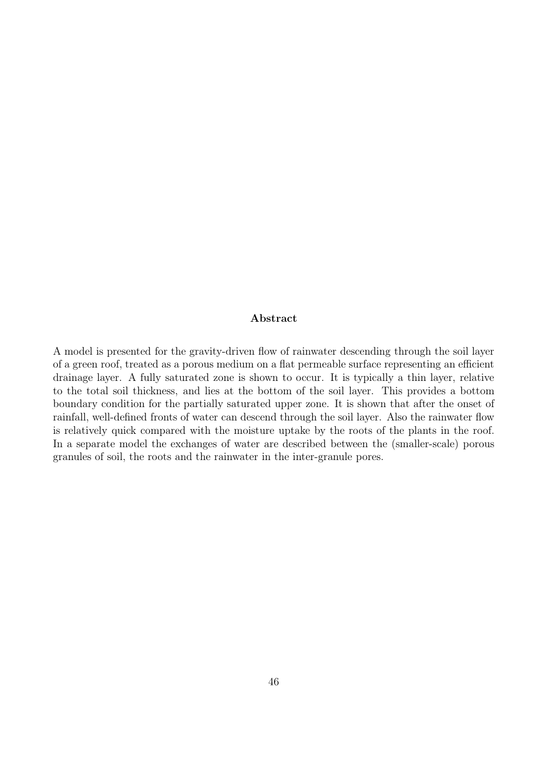#### Abstract

A model is presented for the gravity-driven flow of rainwater descending through the soil layer of a green roof, treated as a porous medium on a flat permeable surface representing an efficient drainage layer. A fully saturated zone is shown to occur. It is typically a thin layer, relative to the total soil thickness, and lies at the bottom of the soil layer. This provides a bottom boundary condition for the partially saturated upper zone. It is shown that after the onset of rainfall, well-defined fronts of water can descend through the soil layer. Also the rainwater flow is relatively quick compared with the moisture uptake by the roots of the plants in the roof. In a separate model the exchanges of water are described between the (smaller-scale) porous granules of soil, the roots and the rainwater in the inter-granule pores.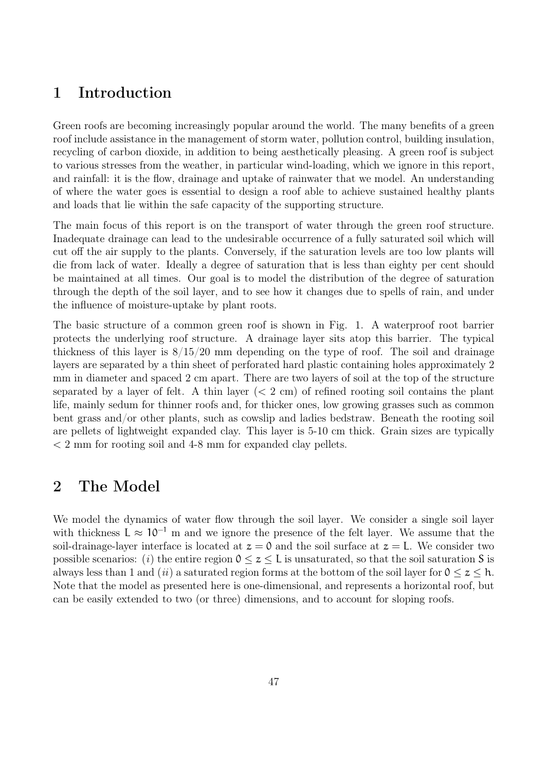## 1 Introduction

Green roofs are becoming increasingly popular around the world. The many benefits of a green roof include assistance in the management of storm water, pollution control, building insulation, recycling of carbon dioxide, in addition to being aesthetically pleasing. A green roof is subject to various stresses from the weather, in particular wind-loading, which we ignore in this report, and rainfall: it is the flow, drainage and uptake of rainwater that we model. An understanding of where the water goes is essential to design a roof able to achieve sustained healthy plants and loads that lie within the safe capacity of the supporting structure.

The main focus of this report is on the transport of water through the green roof structure. Inadequate drainage can lead to the undesirable occurrence of a fully saturated soil which will cut off the air supply to the plants. Conversely, if the saturation levels are too low plants will die from lack of water. Ideally a degree of saturation that is less than eighty per cent should be maintained at all times. Our goal is to model the distribution of the degree of saturation through the depth of the soil layer, and to see how it changes due to spells of rain, and under the influence of moisture-uptake by plant roots.

The basic structure of a common green roof is shown in Fig. 1. A waterproof root barrier protects the underlying roof structure. A drainage layer sits atop this barrier. The typical thickness of this layer is  $8/15/20$  mm depending on the type of roof. The soil and drainage layers are separated by a thin sheet of perforated hard plastic containing holes approximately 2 mm in diameter and spaced 2 cm apart. There are two layers of soil at the top of the structure separated by a layer of felt. A thin layer  $( $2 \text{ cm}$ )$  of refined rooting soil contains the plant life, mainly sedum for thinner roofs and, for thicker ones, low growing grasses such as common bent grass and/or other plants, such as cowslip and ladies bedstraw. Beneath the rooting soil are pellets of lightweight expanded clay. This layer is 5-10 cm thick. Grain sizes are typically < 2 mm for rooting soil and 4-8 mm for expanded clay pellets.

## 2 The Model

We model the dynamics of water flow through the soil layer. We consider a single soil layer with thickness  $L \approx 10^{-1}$  m and we ignore the presence of the felt layer. We assume that the soil-drainage-layer interface is located at  $z = 0$  and the soil surface at  $z = L$ . We consider two possible scenarios: (i) the entire region  $0 \le z \le L$  is unsaturated, so that the soil saturation S is always less than 1 and (ii) a saturated region forms at the bottom of the soil layer for  $0 \le z \le h$ . Note that the model as presented here is one-dimensional, and represents a horizontal roof, but can be easily extended to two (or three) dimensions, and to account for sloping roofs.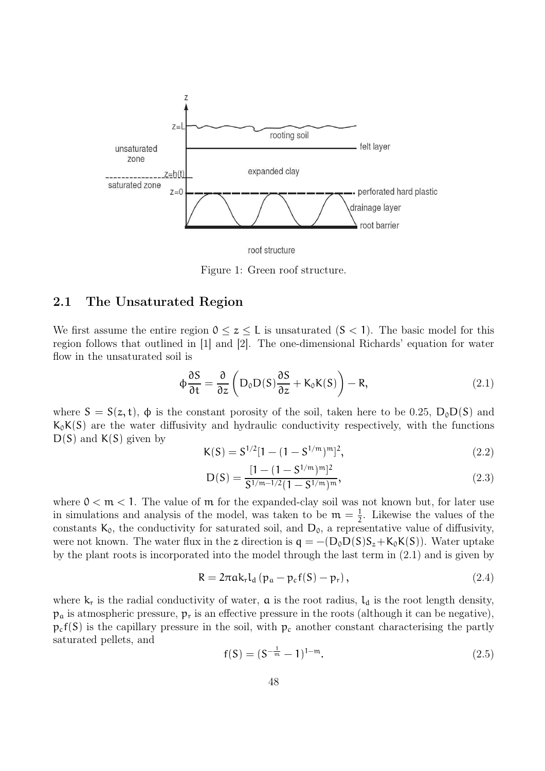

roof structure

Figure 1: Green roof structure.

#### 2.1 The Unsaturated Region

We first assume the entire region  $0 \le z \le L$  is unsaturated  $(S < 1)$ . The basic model for this region follows that outlined in [1] and [2]. The one-dimensional Richards' equation for water flow in the unsaturated soil is

$$
\phi \frac{\partial S}{\partial t} = \frac{\partial}{\partial z} \left( D_0 D(S) \frac{\partial S}{\partial z} + K_0 K(S) \right) - R, \qquad (2.1)
$$

where  $S = S(z, t)$ ,  $\phi$  is the constant porosity of the soil, taken here to be 0.25,  $D_0D(S)$  and  $K_0K(S)$  are the water diffusivity and hydraulic conductivity respectively, with the functions  $D(S)$  and  $K(S)$  given by

$$
K(S) = S^{1/2}[1 - (1 - S^{1/m})^m]^2,
$$
\n(2.2)

$$
D(S) = \frac{[1 - (1 - S^{1/m})^m]^2}{S^{1/m - 1/2} (1 - S^{1/m})^m},
$$
\n(2.3)

where  $0 < m < 1$ . The value of m for the expanded-clay soil was not known but, for later use in simulations and analysis of the model, was taken to be  $m = \frac{1}{2}$  $\frac{1}{2}$ . Likewise the values of the constants  $K_0$ , the conductivity for saturated soil, and  $D_0$ , a representative value of diffusivity, were not known. The water flux in the z direction is  $q = -(D_0D(S)S_z+K_0K(S))$ . Water uptake by the plant roots is incorporated into the model through the last term in (2.1) and is given by

$$
R = 2\pi ak_r l_d (p_a - p_c f(S) - p_r), \qquad (2.4)
$$

where  $k_r$  is the radial conductivity of water,  $\alpha$  is the root radius,  $l_d$  is the root length density,  $p_a$  is atmospheric pressure,  $p_r$  is an effective pressure in the roots (although it can be negative),  $p_c f(S)$  is the capillary pressure in the soil, with  $p_c$  another constant characterising the partly saturated pellets, and

$$
f(S) = (S^{-\frac{1}{m}} - 1)^{1 - m}.
$$
\n(2.5)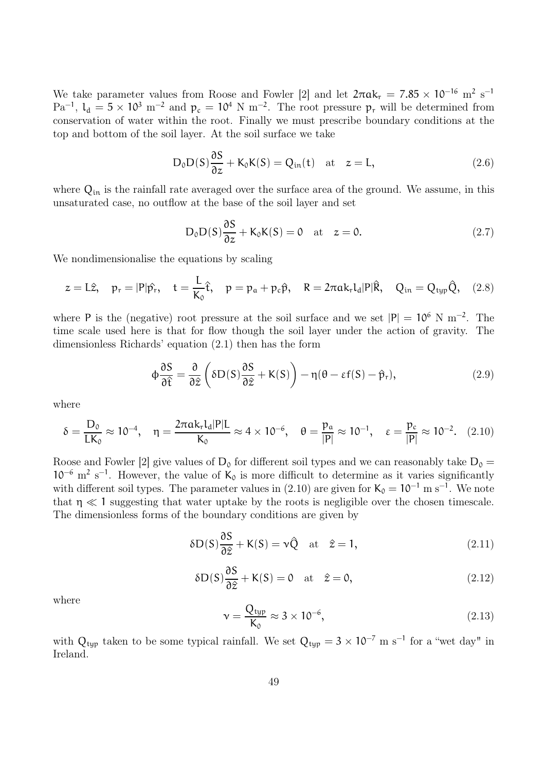We take parameter values from Roose and Fowler [2] and let  $2\pi a k_r = 7.85 \times 10^{-16}$  m<sup>2</sup> s<sup>-1</sup>  $\text{Pa}^{-1}$ ,  $\text{L}_d = 5 \times 10^3 \text{ m}^{-2}$  and  $p_c = 10^4 \text{ N m}^{-2}$ . The root pressure  $p_r$  will be determined from conservation of water within the root. Finally we must prescribe boundary conditions at the top and bottom of the soil layer. At the soil surface we take

$$
D_0 D(S) \frac{\partial S}{\partial z} + K_0 K(S) = Q_{in}(t) \quad \text{at} \quad z = L,
$$
\n(2.6)

where  $Q_{in}$  is the rainfall rate averaged over the surface area of the ground. We assume, in this unsaturated case, no outflow at the base of the soil layer and set

$$
D_0 D(S) \frac{\partial S}{\partial z} + K_0 K(S) = 0 \quad \text{at} \quad z = 0. \tag{2.7}
$$

We nondimensionalise the equations by scaling

$$
z = L\hat{z}, \quad p_r = |P|\hat{p}_r, \quad t = \frac{L}{K_0}\hat{t}, \quad p = p_a + p_c\hat{p}, \quad R = 2\pi ak_r l_d |P|\hat{R}, \quad Q_{in} = Q_{typ}\hat{Q}, \quad (2.8)
$$

where P is the (negative) root pressure at the soil surface and we set  $|P| = 10^6$  N m<sup>-2</sup>. The time scale used here is that for flow though the soil layer under the action of gravity. The dimensionless Richards' equation (2.1) then has the form

$$
\phi \frac{\partial S}{\partial \hat{t}} = \frac{\partial}{\partial \hat{z}} \left( \delta D(S) \frac{\partial S}{\partial \hat{z}} + K(S) \right) - \eta (\theta - \varepsilon f(S) - \hat{p}_r), \tag{2.9}
$$

where

$$
\delta = \frac{D_0}{LK_0} \approx 10^{-4}, \quad \eta = \frac{2\pi a k_r l_d |P| L}{K_0} \approx 4 \times 10^{-6}, \quad \theta = \frac{p_a}{|P|} \approx 10^{-1}, \quad \epsilon = \frac{p_c}{|P|} \approx 10^{-2}. \quad (2.10)
$$

Roose and Fowler [2] give values of  $D_0$  for different soil types and we can reasonably take  $D_0 =$  $10^{-6}$  m<sup>2</sup> s<sup>-1</sup>. However, the value of K<sub>0</sub> is more difficult to determine as it varies significantly with different soil types. The parameter values in  $(2.10)$  are given for  $K_0 = 10^{-1}$  m s<sup>-1</sup>. We note that  $\eta \ll 1$  suggesting that water uptake by the roots is negligible over the chosen timescale. The dimensionless forms of the boundary conditions are given by

$$
\delta D(S)\frac{\partial S}{\partial \hat{z}} + K(S) = \nu \hat{Q} \quad \text{at} \quad \hat{z} = 1,
$$
\n(2.11)

$$
\delta D(S)\frac{\partial S}{\partial \hat{z}} + K(S) = 0 \quad \text{at} \quad \hat{z} = 0,
$$
\n(2.12)

where

$$
\mathbf{v} = \frac{\mathbf{Q}_{\text{typ}}}{\mathbf{K}_0} \approx 3 \times 10^{-6},\tag{2.13}
$$

with  $Q_{typ}$  taken to be some typical rainfall. We set  $Q_{typ} = 3 \times 10^{-7}$  m s<sup>-1</sup> for a "wet day" in Ireland.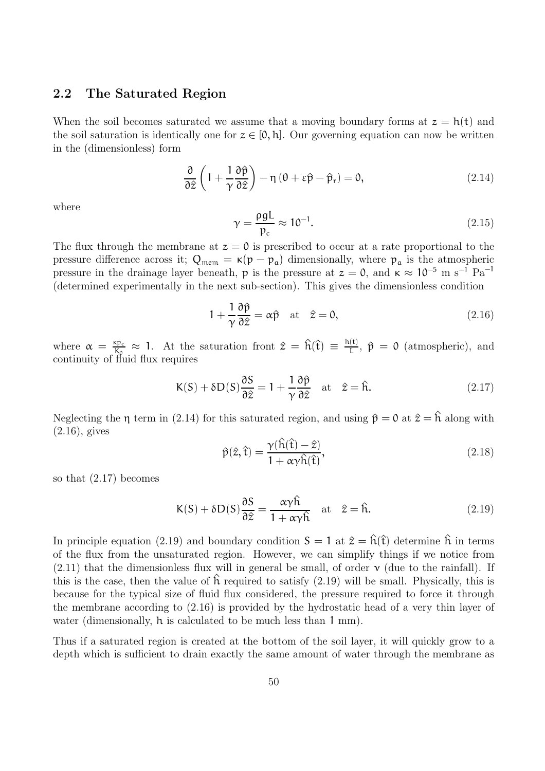#### 2.2 The Saturated Region

When the soil becomes saturated we assume that a moving boundary forms at  $z = h(t)$  and the soil saturation is identically one for  $z \in [0, h]$ . Our governing equation can now be written in the (dimensionless) form

$$
\frac{\partial}{\partial \hat{z}} \left( 1 + \frac{1}{\gamma} \frac{\partial \hat{p}}{\partial \hat{z}} \right) - \eta \left( \theta + \varepsilon \hat{p} - \hat{p}_r \right) = 0, \tag{2.14}
$$

where

$$
\gamma = \frac{\rho g L}{p_c} \approx 10^{-1}.
$$
\n(2.15)

The flux through the membrane at  $z = 0$  is prescribed to occur at a rate proportional to the pressure difference across it;  $Q_{mem} = \kappa(p - p_a)$  dimensionally, where  $p_a$  is the atmospheric pressure in the drainage layer beneath, p is the pressure at  $z = 0$ , and  $\kappa \approx 10^{-5}$  m s<sup>-1</sup> Pa<sup>-1</sup> (determined experimentally in the next sub-section). This gives the dimensionless condition

$$
1 + \frac{1}{\gamma} \frac{\partial \hat{\mathbf{p}}}{\partial \hat{z}} = \alpha \hat{\mathbf{p}} \quad \text{at} \quad \hat{z} = 0,
$$
 (2.16)

where  $\alpha = \frac{\kappa p_c}{K_0}$  $\frac{\epsilon p_c}{K_0} \approx 1$ . At the saturation front  $\hat{z} = \hat{h}(\hat{t}) \equiv \frac{h(t)}{L}$  $\frac{d(t)}{L}$ ,  $\hat{p} = 0$  (atmospheric), and continuity of fluid flux requires

$$
K(S) + \delta D(S)\frac{\partial S}{\partial \hat{z}} = 1 + \frac{1}{\gamma} \frac{\partial \hat{p}}{\partial \hat{z}} \quad \text{at} \quad \hat{z} = \hat{h}.\tag{2.17}
$$

Neglecting the  $\eta$  term in (2.14) for this saturated region, and using  $\hat{p} = 0$  at  $\hat{z} = \hat{h}$  along with (2.16), gives

$$
\hat{\mathbf{p}}(\hat{z},\hat{\mathbf{t}}) = \frac{\gamma(\hat{\mathbf{h}}(\hat{\mathbf{t}}) - \hat{z})}{1 + \alpha \gamma \hat{\mathbf{h}}(\hat{\mathbf{t}})},
$$
\n(2.18)

so that (2.17) becomes

$$
K(S) + \delta D(S)\frac{\partial S}{\partial \hat{z}} = \frac{\alpha \gamma \hat{h}}{1 + \alpha \gamma \hat{h}} \quad \text{at} \quad \hat{z} = \hat{h}.\tag{2.19}
$$

In principle equation (2.19) and boundary condition  $S = 1$  at  $\hat{z} = \hat{h}(\hat{t})$  determine  $\hat{h}$  in terms of the flux from the unsaturated region. However, we can simplify things if we notice from  $(2.11)$  that the dimensionless flux will in general be small, of order  $\nu$  (due to the rainfall). If this is the case, then the value of  $\hat{h}$  required to satisfy (2.19) will be small. Physically, this is because for the typical size of fluid flux considered, the pressure required to force it through the membrane according to (2.16) is provided by the hydrostatic head of a very thin layer of water (dimensionally, h is calculated to be much less than 1 mm).

Thus if a saturated region is created at the bottom of the soil layer, it will quickly grow to a depth which is sufficient to drain exactly the same amount of water through the membrane as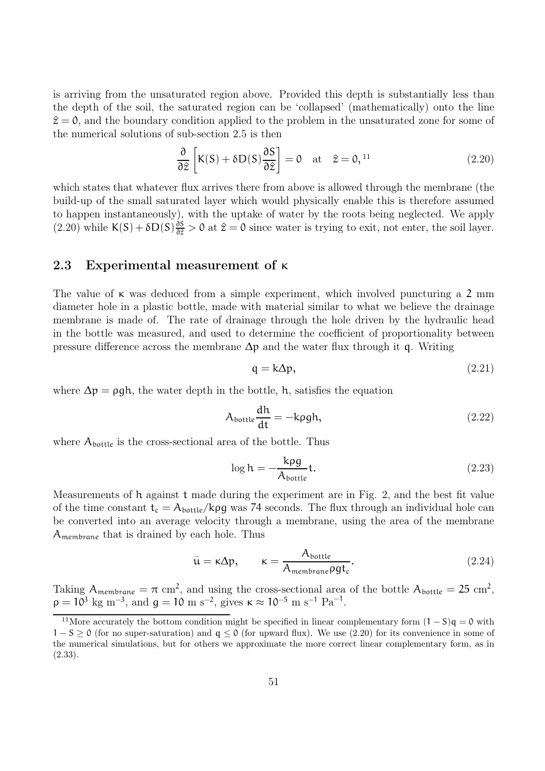is arriving from the unsaturated region above. Provided this depth is substantially less than the depth of the soil, the saturated region can be 'collapsed' (mathematically) onto the line  $\hat{z} = 0$ , and the boundary condition applied to the problem in the unsaturated zone for some of the numerical solutions of sub-section 2.5 is then

$$
\frac{\partial}{\partial \hat{z}} \left[ K(S) + \delta D(S) \frac{\partial S}{\partial \hat{z}} \right] = 0 \quad \text{at} \quad \hat{z} = 0, 11 \tag{2.20}
$$

which states that whatever flux arrives there from above is allowed through the membrane (the build-up of the small saturated layer which would physically enable this is therefore assumed to happen instantaneously), with the uptake of water by the roots being neglected. We apply  $(2.20)$  while  $K(S) + \delta D(S) \frac{\partial S}{\partial \hat{z}} > 0$  at  $\hat{z} = 0$  since water is trying to exit, not enter, the soil layer.

#### 2.3 Experimental measurement of κ

The value of  $\kappa$  was deduced from a simple experiment, which involved puncturing a 2 mm diameter hole in a plastic bottle, made with material similar to what we believe the drainage membrane is made of. The rate of drainage through the hole driven by the hydraulic head in the bottle was measured, and used to determine the coefficient of proportionality between pressure difference across the membrane  $\Delta p$  and the water flux through it q. Writing

$$
q = k\Delta p,\tag{2.21}
$$

where  $\Delta p = \rho g h$ , the water depth in the bottle, h, satisfies the equation

$$
A_{\text{bottle}} \frac{dh}{dt} = -\text{kpgh},\tag{2.22}
$$

where  $A_{\text{bottle}}$  is the cross-sectional area of the bottle. Thus

$$
\log h = -\frac{k\rho g}{A_{\text{bottle}}}t.\tag{2.23}
$$

Measurements of h against t made during the experiment are in Fig. 2, and the best fit value of the time constant  $t_c = A_{bottle}/k\rho g$  was 74 seconds. The flux through an individual hole can be converted into an average velocity through a membrane, using the area of the membrane Amembrane that is drained by each hole. Thus

$$
\bar{\mathbf{u}} = \kappa \Delta p, \qquad \kappa = \frac{A_{\text{bottle}}}{A_{\text{membrane}} \rho g t_c}.
$$
\n(2.24)

Taking  $A_{\text{membrane}} = \pi \text{ cm}^2$ , and using the cross-sectional area of the bottle  $A_{\text{bottle}} = 25 \text{ cm}^2$ ,  $\rho = 10^3$  kg m<sup>-3</sup>, and  $g = 10$  m s<sup>-2</sup>, gives  $\kappa \approx 10^{-5}$  m s<sup>-1</sup> Pa<sup>-1</sup>.

<sup>&</sup>lt;sup>11</sup>More accurately the bottom condition might be specified in linear complementary form  $(1 - S)q = 0$  with  $1-S \ge 0$  (for no super-saturation) and  $q \le 0$  (for upward flux). We use (2.20) for its convenience in some of the numerical simulations, but for others we approximate the more correct linear complementary form, as in (2.33).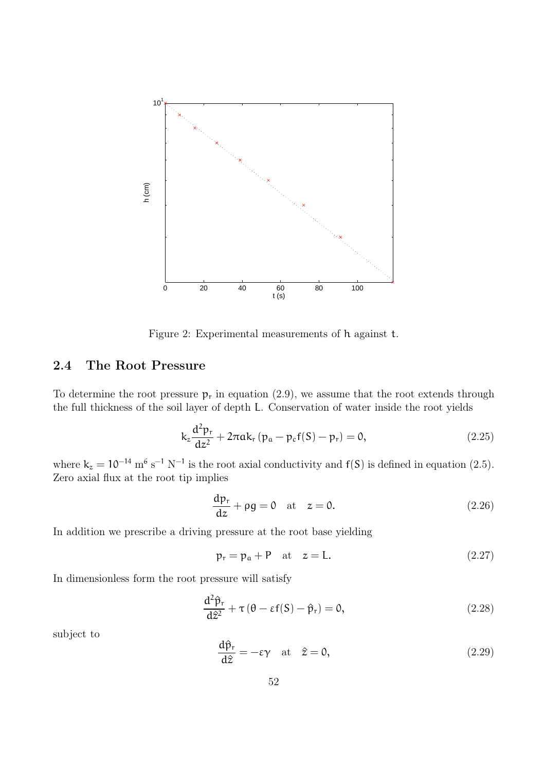

Figure 2: Experimental measurements of h against t.

#### 2.4 The Root Pressure

To determine the root pressure  $p_r$  in equation (2.9), we assume that the root extends through the full thickness of the soil layer of depth L. Conservation of water inside the root yields

$$
k_{z}\frac{d^{2}p_{r}}{dz^{2}} + 2\pi ak_{r}(p_{a} - p_{c}f(S) - p_{r}) = 0,
$$
\n(2.25)

where  $k_z = 10^{-14}$  m<sup>6</sup> s<sup>-1</sup> N<sup>-1</sup> is the root axial conductivity and f(S) is defined in equation (2.5). Zero axial flux at the root tip implies

$$
\frac{dp_r}{dz} + \rho g = 0 \quad \text{at} \quad z = 0. \tag{2.26}
$$

In addition we prescribe a driving pressure at the root base yielding

$$
p_r = p_a + P \quad \text{at} \quad z = L. \tag{2.27}
$$

In dimensionless form the root pressure will satisfy

$$
\frac{d^2\hat{p}_r}{d\hat{z}^2} + \tau (\theta - \varepsilon f(S) - \hat{p}_r) = 0, \qquad (2.28)
$$

subject to

$$
\frac{d\hat{p}_r}{d\hat{z}} = -\varepsilon \gamma \quad \text{at} \quad \hat{z} = 0,
$$
\n(2.29)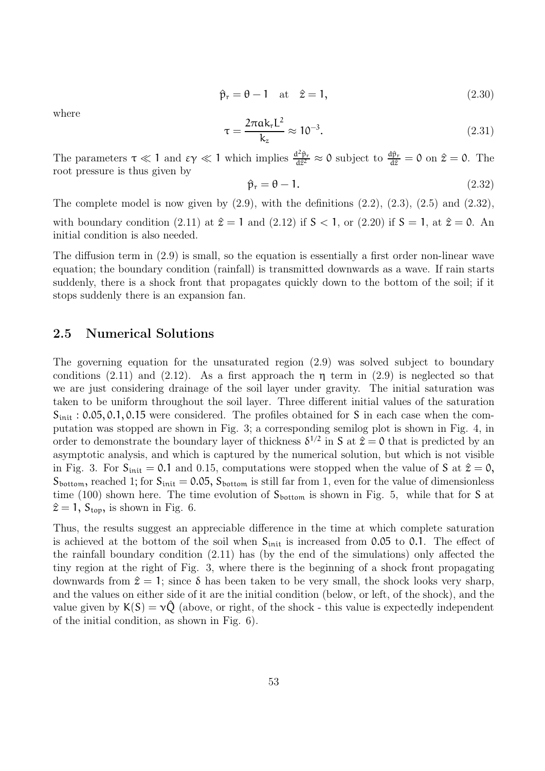$$
\hat{\mathbf{p}}_{\mathbf{r}} = \mathbf{\theta} - \mathbf{1} \quad \text{at} \quad \hat{\mathbf{z}} = \mathbf{1},\tag{2.30}
$$

where

$$
\tau = \frac{2\pi a k_r L^2}{k_z} \approx 10^{-3}.
$$
 (2.31)

The parameters  $\tau \ll 1$  and  $\epsilon \gamma \ll 1$  which implies  $\frac{d^2 \hat{p}_r}{dt^2}$  $\frac{d^2 \hat{p}_r}{dz^2} \approx 0$  subject to  $\frac{d\hat{p}_r}{dz} = 0$  on  $\hat{z} = 0$ . The root pressure is thus given by

$$
\hat{\mathbf{p}}_{\mathbf{r}} = \mathbf{\theta} - \mathbf{1}.\tag{2.32}
$$

The complete model is now given by  $(2.9)$ , with the definitions  $(2.2)$ ,  $(2.3)$ ,  $(2.5)$  and  $(2.32)$ , with boundary condition (2.11) at  $\hat{z} = 1$  and (2.12) if  $S < 1$ , or (2.20) if  $S = 1$ , at  $\hat{z} = 0$ . An initial condition is also needed.

The diffusion term in (2.9) is small, so the equation is essentially a first order non-linear wave equation; the boundary condition (rainfall) is transmitted downwards as a wave. If rain starts suddenly, there is a shock front that propagates quickly down to the bottom of the soil; if it stops suddenly there is an expansion fan.

#### 2.5 Numerical Solutions

The governing equation for the unsaturated region (2.9) was solved subject to boundary conditions (2.11) and (2.12). As a first approach the  $\eta$  term in (2.9) is neglected so that we are just considering drainage of the soil layer under gravity. The initial saturation was taken to be uniform throughout the soil layer. Three different initial values of the saturation  $S<sub>init</sub>$ : 0.05, 0.1, 0.15 were considered. The profiles obtained for S in each case when the computation was stopped are shown in Fig. 3; a corresponding semilog plot is shown in Fig. 4, in order to demonstrate the boundary layer of thickness  $\delta^{1/2}$  in S at  $\hat{z} = 0$  that is predicted by an asymptotic analysis, and which is captured by the numerical solution, but which is not visible in Fig. 3. For  $S_{init} = 0.1$  and 0.15, computations were stopped when the value of S at  $\hat{z} = 0$ ,  $S_{bottom}$ , reached 1; for  $S_{init} = 0.05$ ,  $S_{bottom}$  is still far from 1, even for the value of dimensionless time (100) shown here. The time evolution of  $S_{bottom}$  is shown in Fig. 5, while that for S at  $\hat{z} = 1, S_{\text{top}}$ , is shown in Fig. 6.

Thus, the results suggest an appreciable difference in the time at which complete saturation is achieved at the bottom of the soil when  $S_{init}$  is increased from 0.05 to 0.1. The effect of the rainfall boundary condition (2.11) has (by the end of the simulations) only affected the tiny region at the right of Fig. 3, where there is the beginning of a shock front propagating downwards from  $\hat{z} = 1$ ; since δ has been taken to be very small, the shock looks very sharp, and the values on either side of it are the initial condition (below, or left, of the shock), and the value given by  $K(S) = v\hat{Q}$  (above, or right, of the shock - this value is expectedly independent of the initial condition, as shown in Fig. 6).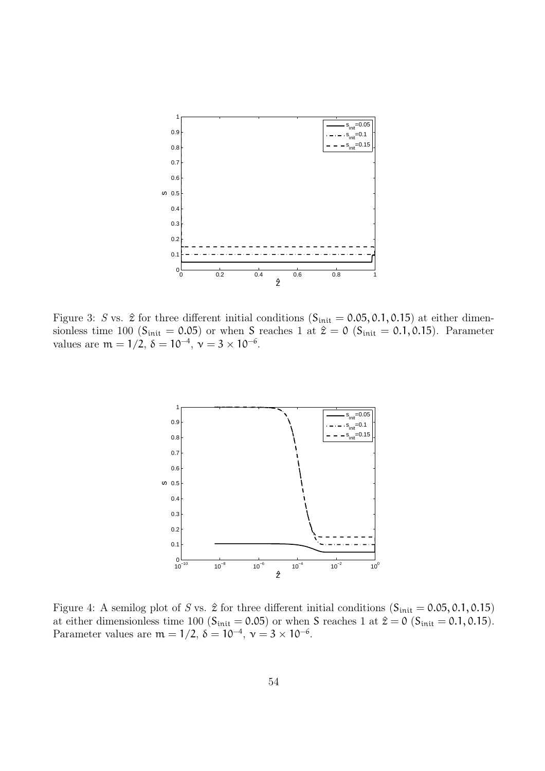

Figure 3: S vs.  $\hat{z}$  for three different initial conditions (S<sub>init</sub> = 0.05, 0.1, 0.15) at either dimensionless time 100 ( $S_{init} = 0.05$ ) or when S reaches 1 at  $\hat{z} = 0$  ( $S_{init} = 0.1, 0.15$ ). Parameter values are  $m = 1/2$ ,  $\delta = 10^{-4}$ ,  $\nu = 3 \times 10^{-6}$ .



Figure 4: A semilog plot of S vs.  $\hat{z}$  for three different initial conditions (S<sub>init</sub> = 0.05, 0.1, 0.15) at either dimensionless time 100 ( $S_{init} = 0.05$ ) or when S reaches 1 at  $\hat{z} = 0$  ( $S_{init} = 0.1, 0.15$ ). Parameter values are  $m = 1/2$ ,  $\delta = 10^{-4}$ ,  $\nu = 3 \times 10^{-6}$ .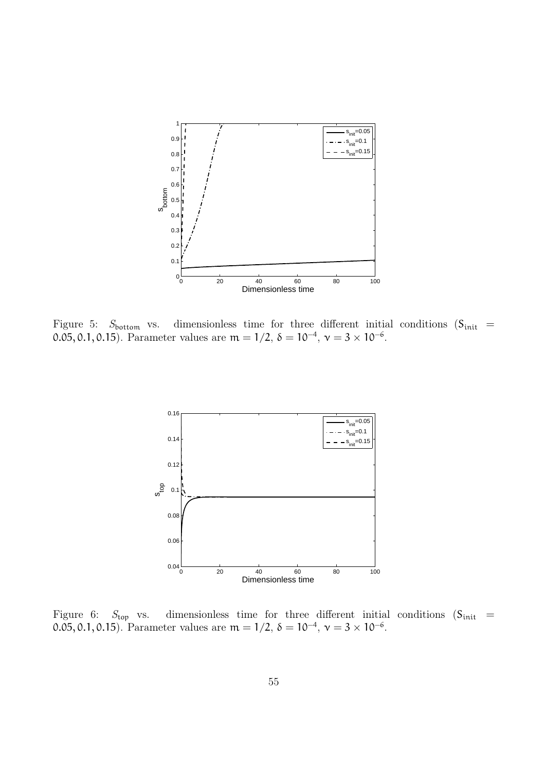

Figure 5:  $S_{\text{bottom}}$  vs. dimensionless time for three different initial conditions  $(S_{\text{init}} =$ 0.05, 0.1, 0.15). Parameter values are  $m = 1/2$ ,  $\delta = 10^{-4}$ ,  $\nu = 3 \times 10^{-6}$ .



Figure 6:  $S_{\text{top}}$  vs. dimensionless time for three different initial conditions ( $S_{\text{init}}$  = 0.05, 0.1, 0.15). Parameter values are  $m = 1/2$ ,  $\delta = 10^{-4}$ ,  $\nu = 3 \times 10^{-6}$ .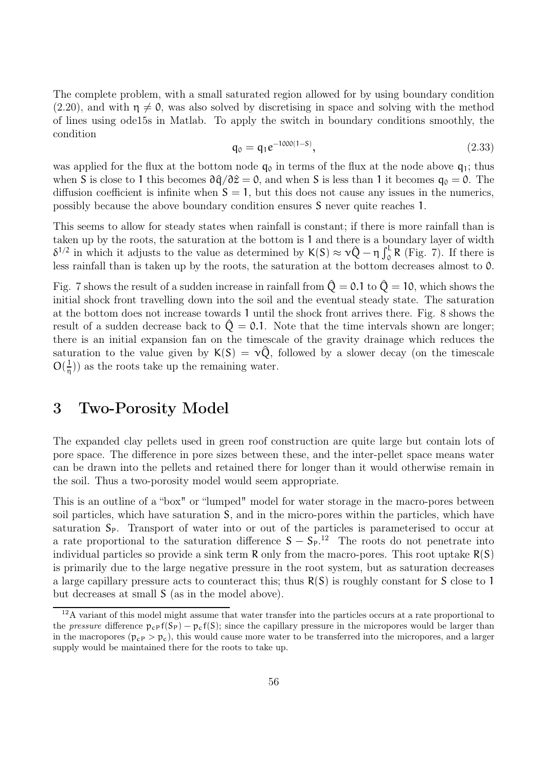The complete problem, with a small saturated region allowed for by using boundary condition (2.20), and with  $\eta \neq 0$ , was also solved by discretising in space and solving with the method of lines using ode15s in Matlab. To apply the switch in boundary conditions smoothly, the condition

$$
q_0 = q_1 e^{-1000(1-S)}, \t\t(2.33)
$$

was applied for the flux at the bottom node  $q_0$  in terms of the flux at the node above  $q_1$ ; thus when S is close to 1 this becomes  $\partial \hat{q}/\partial \hat{z} = 0$ , and when S is less than 1 it becomes  $q_0 = 0$ . The diffusion coefficient is infinite when  $S = 1$ , but this does not cause any issues in the numerics, possibly because the above boundary condition ensures S never quite reaches 1.

This seems to allow for steady states when rainfall is constant; if there is more rainfall than is taken up by the roots, the saturation at the bottom is 1 and there is a boundary layer of width  $δ^{1/2}$  in which it adjusts to the value as determined by K(S) ≈  $ν\hat{Q} - η\int_0^L R$  (Fig. 7). If there is less rainfall than is taken up by the roots, the saturation at the bottom decreases almost to 0.

Fig. 7 shows the result of a sudden increase in rainfall from  $\hat{Q} = 0.1$  to  $\hat{Q} = 10$ , which shows the initial shock front travelling down into the soil and the eventual steady state. The saturation at the bottom does not increase towards 1 until the shock front arrives there. Fig. 8 shows the result of a sudden decrease back to  $\hat{Q} = 0.1$ . Note that the time intervals shown are longer; there is an initial expansion fan on the timescale of the gravity drainage which reduces the saturation to the value given by  $K(S) = v\hat{Q}$ , followed by a slower decay (on the timescale  $O(\frac{1}{n})$  $(\frac{1}{\eta})$  as the roots take up the remaining water.

### 3 Two-Porosity Model

The expanded clay pellets used in green roof construction are quite large but contain lots of pore space. The difference in pore sizes between these, and the inter-pellet space means water can be drawn into the pellets and retained there for longer than it would otherwise remain in the soil. Thus a two-porosity model would seem appropriate.

This is an outline of a "box" or "lumped" model for water storage in the macro-pores between soil particles, which have saturation S, and in the micro-pores within the particles, which have saturation  $S_p$ . Transport of water into or out of the particles is parameterised to occur at a rate proportional to the saturation difference  $S - S_P$ .<sup>12</sup> The roots do not penetrate into individual particles so provide a sink term  $R$  only from the macro-pores. This root uptake  $R(S)$ is primarily due to the large negative pressure in the root system, but as saturation decreases a large capillary pressure acts to counteract this; thus  $R(S)$  is roughly constant for S close to 1 but decreases at small S (as in the model above).

<sup>&</sup>lt;sup>12</sup>A variant of this model might assume that water transfer into the particles occurs at a rate proportional to the pressure difference  $p_c p_f(S_p) - p_c f(S)$ ; since the capillary pressure in the micropores would be larger than in the macropores  $(p_{CP} > p_c)$ , this would cause more water to be transferred into the micropores, and a larger supply would be maintained there for the roots to take up.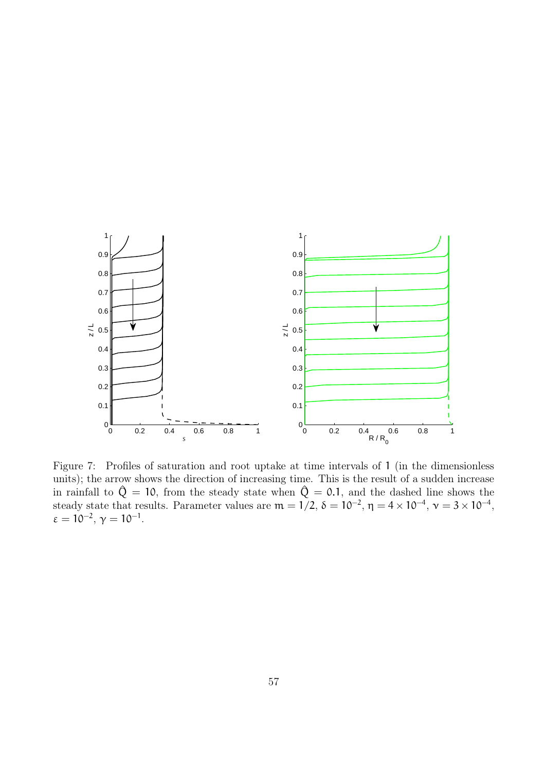

Figure 7: Profiles of saturation and root uptake at time intervals of 1 (in the dimensionless units); the arrow shows the direction of increasing time. This is the result of a sudden increase in rainfall to  $\hat{Q} = 10$ , from the steady state when  $\hat{Q} = 0.1$ , and the dashed line shows the steady state that results. Parameter values are  $m = 1/2$ ,  $\delta = 10^{-2}$ ,  $\eta = 4 \times 10^{-4}$ ,  $\nu = 3 \times 10^{-4}$ ,  $\varepsilon = 10^{-2}, \gamma = 10^{-1}.$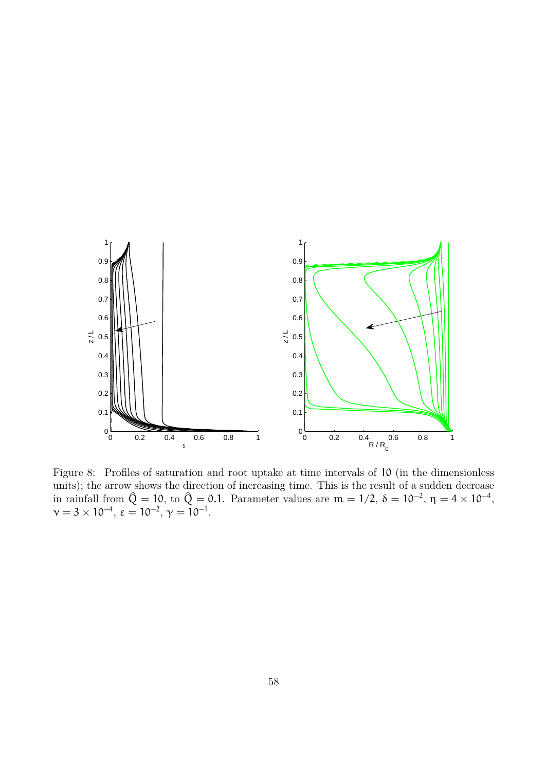

Figure 8: Profiles of saturation and root uptake at time intervals of 10 (in the dimensionless units); the arrow shows the direction of increasing time. This is the result of a sudden decrease in rainfall from  $\hat{Q} = 10$ , to  $\hat{Q} = 0.1$ . Parameter values are  $m = 1/2$ ,  $\delta = 10^{-2}$ ,  $\eta = 4 \times 10^{-4}$ ,  $\nu = 3 \times 10^{-4}, \ \varepsilon = 10^{-2}, \ \gamma = 10^{-1}.$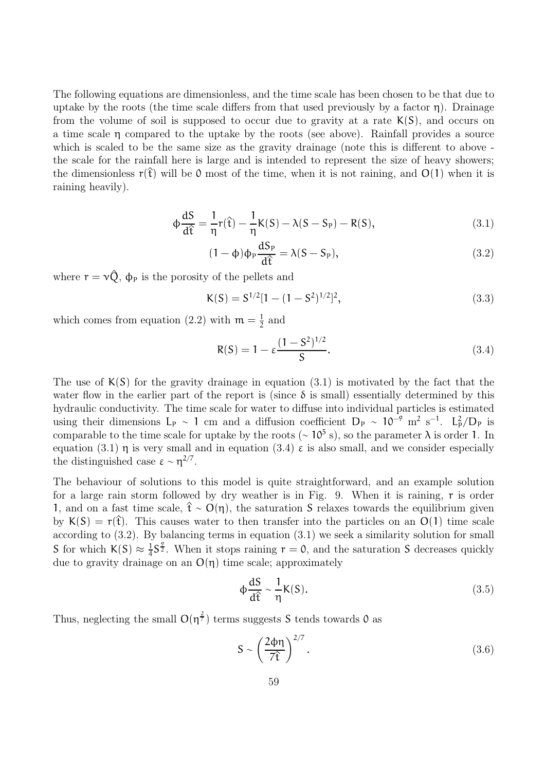The following equations are dimensionless, and the time scale has been chosen to be that due to uptake by the roots (the time scale differs from that used previously by a factor  $\eta$ ). Drainage from the volume of soil is supposed to occur due to gravity at a rate  $K(S)$ , and occurs on a time scale  $\eta$  compared to the uptake by the roots (see above). Rainfall provides a source which is scaled to be the same size as the gravity drainage (note this is different to above the scale for the rainfall here is large and is intended to represent the size of heavy showers; the dimensionless  $r(\hat{t})$  will be 0 most of the time, when it is not raining, and  $O(1)$  when it is raining heavily).

$$
\Phi \frac{dS}{d\hat{t}} = \frac{1}{\eta} r(\hat{t}) - \frac{1}{\eta} K(S) - \lambda (S - S_P) - R(S), \qquad (3.1)
$$

$$
(1 - \phi)\phi_P \frac{dS_P}{d\hat{t}} = \lambda(S - S_P),
$$
\n(3.2)

where  $r = v\hat{Q}$ ,  $\phi_P$  is the porosity of the pellets and

$$
K(S) = S^{1/2}[1 - (1 - S^2)^{1/2}]^2,
$$
\n(3.3)

which comes from equation (2.2) with  $m = \frac{1}{2}$  $\frac{1}{2}$  and

$$
R(S) = 1 - \varepsilon \frac{(1 - S^2)^{1/2}}{S}.
$$
 (3.4)

The use of  $K(S)$  for the gravity drainage in equation (3.1) is motivated by the fact that the water flow in the earlier part of the report is (since  $\delta$  is small) essentially determined by this hydraulic conductivity. The time scale for water to diffuse into individual particles is estimated using their dimensions  $L_p \sim 1$  cm and a diffusion coefficient  $D_p \sim 10^{-9}$  m<sup>2</sup> s<sup>-1</sup>.  $L_p^2/D_p$  is comparable to the time scale for uptake by the roots ( $\sim 10^5$  s), so the parameter  $\lambda$  is order 1. In equation (3.1)  $\eta$  is very small and in equation (3.4)  $\varepsilon$  is also small, and we consider especially the distinguished case  $\varepsilon \sim \eta^{2/7}$ .

The behaviour of solutions to this model is quite straightforward, and an example solution for a large rain storm followed by dry weather is in Fig. 9. When it is raining, r is order 1, and on a fast time scale,  $\hat{t}$  ∼ O(η), the saturation S relaxes towards the equilibrium given by  $K(S) = r(\hat{t})$ . This causes water to then transfer into the particles on an O(1) time scale according to (3.2). By balancing terms in equation (3.1) we seek a similarity solution for small S for which  $K(S) \approx \frac{1}{4}$  $\frac{1}{4}S^{\frac{9}{2}}$ . When it stops raining  $r = 0$ , and the saturation S decreases quickly due to gravity drainage on an  $O(\eta)$  time scale; approximately

$$
\Phi \frac{dS}{d\hat{t}} \sim \frac{1}{\eta} K(S). \tag{3.5}
$$

Thus, neglecting the small  $O(\eta^{\frac{2}{7}})$  terms suggests S tends towards 0 as

$$
S \sim \left(\frac{2\phi\eta}{7\hat{t}}\right)^{2/7}.\tag{3.6}
$$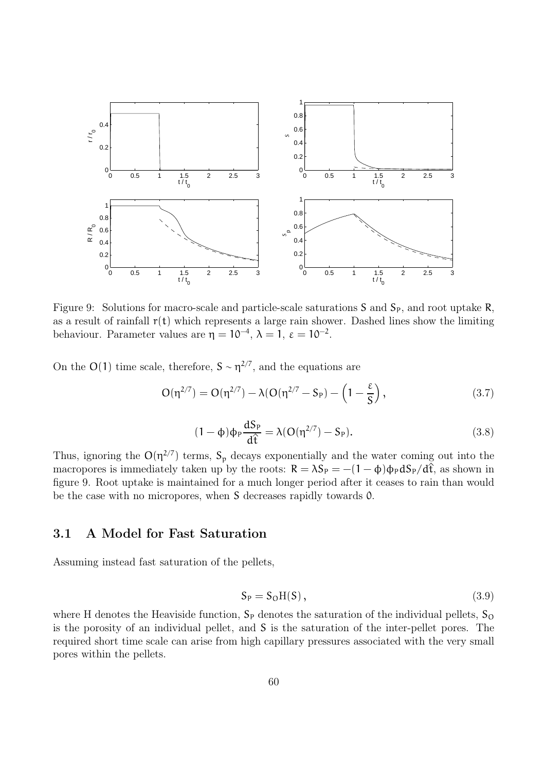

Figure 9: Solutions for macro-scale and particle-scale saturations S and  $S_p$ , and root uptake R, as a result of rainfall  $r(t)$  which represents a large rain shower. Dashed lines show the limiting behaviour. Parameter values are  $\eta = 10^{-4}$ ,  $\lambda = 1$ ,  $\varepsilon = 10^{-2}$ .

On the O(1) time scale, therefore,  $S \sim \eta^{2/7}$ , and the equations are

$$
O(\eta^{2/7}) = O(\eta^{2/7}) - \lambda (O(\eta^{2/7} - S_P) - \left(1 - \frac{\epsilon}{S}\right),\tag{3.7}
$$

$$
(1 - \phi)\phi_P \frac{dS_P}{d\hat{t}} = \lambda (O(\eta^{2/7}) - S_P). \tag{3.8}
$$

Thus, ignoring the  $O(\eta^{2/7})$  terms,  $S_p$  decays exponentially and the water coming out into the macropores is immediately taken up by the roots:  $R = \lambda S_p = -(1 - \phi)\phi_p dS_p/d\hat{t}$ , as shown in figure 9. Root uptake is maintained for a much longer period after it ceases to rain than would be the case with no micropores, when S decreases rapidly towards 0.

#### 3.1 A Model for Fast Saturation

Assuming instead fast saturation of the pellets,

$$
S_P = S_O H(S), \qquad (3.9)
$$

where H denotes the Heaviside function,  $S_P$  denotes the saturation of the individual pellets,  $S_O$ is the porosity of an individual pellet, and S is the saturation of the inter-pellet pores. The required short time scale can arise from high capillary pressures associated with the very small pores within the pellets.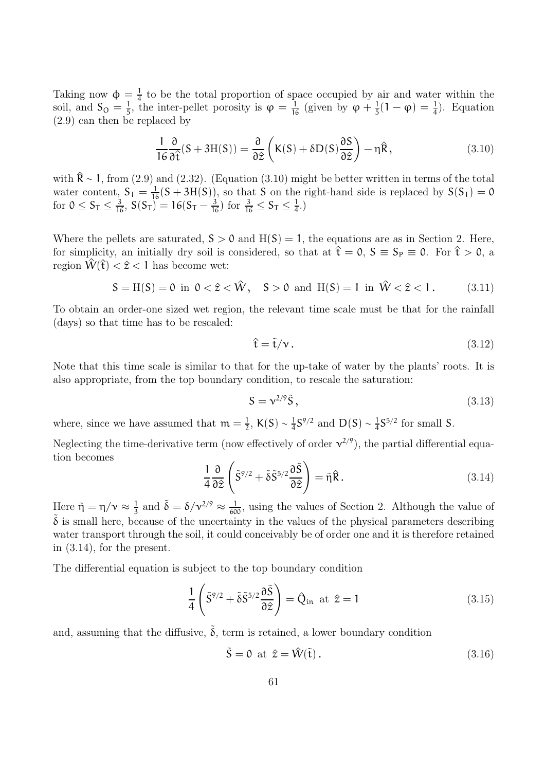Taking now  $\phi = \frac{1}{4}$  $\frac{1}{4}$  to be the total proportion of space occupied by air and water within the soil, and  $S_{\text{O}} = \frac{1}{5}$  $\frac{1}{5}$ , the inter-pellet porosity is  $\varphi = \frac{1}{16}$  (given by  $\varphi + \frac{1}{5}$  $\frac{1}{5}(1 - \varphi) = \frac{1}{4}$ . Equation (2.9) can then be replaced by

$$
\frac{1}{16} \frac{\partial}{\partial \hat{t}} (S + 3H(S)) = \frac{\partial}{\partial \hat{z}} \left( K(S) + \delta D(S) \frac{\partial S}{\partial \hat{z}} \right) - \eta \hat{R}, \qquad (3.10)
$$

with  $\hat{\mathbf{R}}$  ∼ 1, from (2.9) and (2.32). (Equation (3.10) might be better written in terms of the total water content,  $S_T = \frac{1}{16}(S + 3H(S))$ , so that S on the right-hand side is replaced by  $S(S_T) = 0$ for  $0 \le S_T \le \frac{3}{16}$ ,  $S(S_T) = 16(S_T - \frac{3}{16})$  for  $\frac{3}{16} \le S_T \le \frac{1}{4}$  $\frac{1}{4}$ .)

Where the pellets are saturated,  $S > 0$  and  $H(S) = 1$ , the equations are as in Section 2. Here, for simplicity, an initially dry soil is considered, so that at  $\hat{t} = 0$ ,  $S = S_P \equiv 0$ . For  $\hat{t} > 0$ , a region  $\hat{W}(\hat{\tau}) < \hat{z} < 1$  has become wet:

$$
S = H(S) = 0 \text{ in } 0 < \hat{z} < \hat{W}, \quad S > 0 \text{ and } H(S) = 1 \text{ in } \hat{W} < \hat{z} < 1. \tag{3.11}
$$

To obtain an order-one sized wet region, the relevant time scale must be that for the rainfall (days) so that time has to be rescaled:

$$
\hat{\mathbf{t}} = \tilde{\mathbf{t}}/\mathbf{v} \,. \tag{3.12}
$$

Note that this time scale is similar to that for the up-take of water by the plants' roots. It is also appropriate, from the top boundary condition, to rescale the saturation:

$$
S = v^{2/9}\tilde{S},\tag{3.13}
$$

where, since we have assumed that  $m = \frac{1}{2}$  $\frac{1}{2}$ , K(S) ~  $\frac{1}{4}$  $\frac{1}{4}S^{9/2}$  and  $D(S) \sim \frac{1}{4}$  $\frac{1}{4}S^{5/2}$  for small S.

Neglecting the time-derivative term (now effectively of order  $v^{2/9}$ ), the partial differential equation becomes

$$
\frac{1}{4} \frac{\partial}{\partial \hat{z}} \left( \tilde{S}^{9/2} + \tilde{\delta} \tilde{S}^{5/2} \frac{\partial \tilde{S}}{\partial \hat{z}} \right) = \tilde{\eta} \hat{R}.
$$
\n(3.14)

Here  $\tilde{\eta} = \eta/\nu \approx \frac{1}{3}$  $\frac{1}{3}$  and  $\tilde{\delta} = \delta/\nu^{2/9} \approx \frac{1}{600}$ , using the values of Section 2. Although the value of  $\delta$  is small here, because of the uncertainty in the values of the physical parameters describing water transport through the soil, it could conceivably be of order one and it is therefore retained in (3.14), for the present.

The differential equation is subject to the top boundary condition

$$
\frac{1}{4}\left(\tilde{S}^{9/2} + \tilde{\delta}\tilde{S}^{5/2}\frac{\partial\tilde{S}}{\partial\hat{z}}\right) = \hat{Q}_{\text{in}} \text{ at } \hat{z} = 1 \tag{3.15}
$$

and, assuming that the diffusive,  $\tilde{\delta}$ , term is retained, a lower boundary condition

$$
\tilde{\mathbf{S}} = \mathbf{0} \text{ at } \hat{\mathbf{z}} = \hat{\mathbf{W}}(\tilde{\mathbf{t}}). \tag{3.16}
$$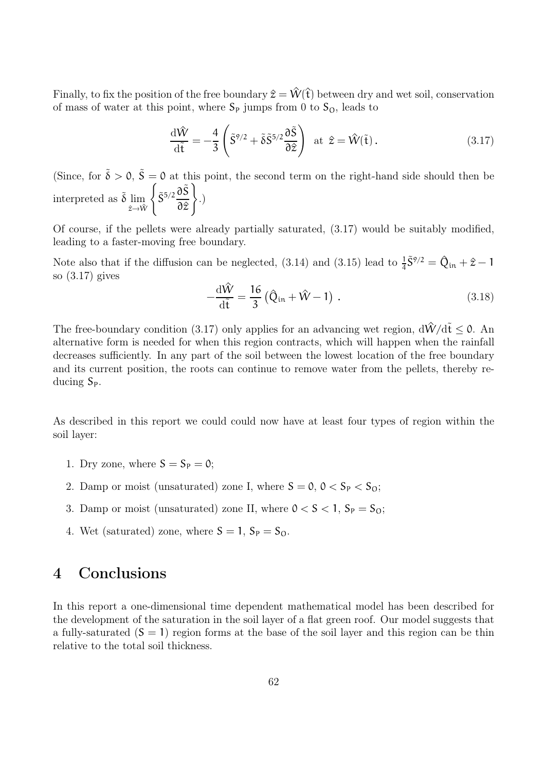Finally, to fix the position of the free boundary  $\hat{z} = \hat{W}(\hat{t})$  between dry and wet soil, conservation of mass of water at this point, where  $S_P$  jumps from 0 to  $S_O$ , leads to

$$
\frac{\mathrm{d}\hat{W}}{\mathrm{d}\tilde{t}} = -\frac{4}{3} \left( \tilde{S}^{9/2} + \tilde{\delta}\tilde{S}^{5/2} \frac{\partial \tilde{S}}{\partial \hat{z}} \right) \text{ at } \hat{z} = \hat{W}(\tilde{t}). \qquad (3.17)
$$

(Since, for  $\tilde{\delta} > 0$ ,  $\tilde{S} = 0$  at this point, the second term on the right-hand side should then be interpreted as  $\tilde{\delta}$  lim  $\hat{z} \rightarrow \hat{W}$  $\int \tilde{S}^{5/2} \frac{\partial \tilde{S}}{\partial \tilde{S}}$ ∂z^  $\mathcal{L}$ .)

Of course, if the pellets were already partially saturated, (3.17) would be suitably modified, leading to a faster-moving free boundary.

Note also that if the diffusion can be neglected, (3.14) and (3.15) lead to  $\frac{1}{4}\tilde{S}^{9/2} = \hat{Q}_{in} + \hat{z} - 1$ so (3.17) gives

$$
-\frac{\mathrm{d}\hat{W}}{\mathrm{d}\tilde{t}} = \frac{16}{3} \left( \hat{Q}_{\text{in}} + \hat{W} - 1 \right) . \tag{3.18}
$$

The free-boundary condition (3.17) only applies for an advancing wet region,  $d\hat{W}/d\tilde{t} \leq 0$ . An alternative form is needed for when this region contracts, which will happen when the rainfall decreases sufficiently. In any part of the soil between the lowest location of the free boundary and its current position, the roots can continue to remove water from the pellets, thereby reducing  $S_{P}$ .

As described in this report we could could now have at least four types of region within the soil layer:

- 1. Dry zone, where  $S = S_p = 0$ ;
- 2. Damp or moist (unsaturated) zone I, where  $S = 0$ ,  $0 < S_p < S_0$ ;
- 3. Damp or moist (unsaturated) zone II, where  $0 < S < 1$ ,  $S_P = S_O$ ;
- 4. Wet (saturated) zone, where  $S = 1$ ,  $S_P = S_O$ .

## 4 Conclusions

In this report a one-dimensional time dependent mathematical model has been described for the development of the saturation in the soil layer of a flat green roof. Our model suggests that a fully-saturated  $(S = 1)$  region forms at the base of the soil layer and this region can be thin relative to the total soil thickness.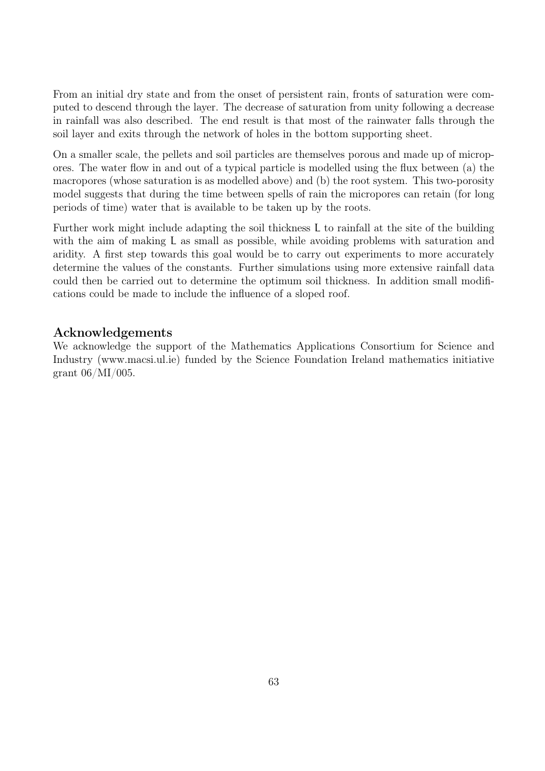From an initial dry state and from the onset of persistent rain, fronts of saturation were computed to descend through the layer. The decrease of saturation from unity following a decrease in rainfall was also described. The end result is that most of the rainwater falls through the soil layer and exits through the network of holes in the bottom supporting sheet.

On a smaller scale, the pellets and soil particles are themselves porous and made up of micropores. The water flow in and out of a typical particle is modelled using the flux between (a) the macropores (whose saturation is as modelled above) and (b) the root system. This two-porosity model suggests that during the time between spells of rain the micropores can retain (for long periods of time) water that is available to be taken up by the roots.

Further work might include adapting the soil thickness L to rainfall at the site of the building with the aim of making L as small as possible, while avoiding problems with saturation and aridity. A first step towards this goal would be to carry out experiments to more accurately determine the values of the constants. Further simulations using more extensive rainfall data could then be carried out to determine the optimum soil thickness. In addition small modifications could be made to include the influence of a sloped roof.

#### Acknowledgements

We acknowledge the support of the Mathematics Applications Consortium for Science and Industry (www.macsi.ul.ie) funded by the Science Foundation Ireland mathematics initiative grant 06/MI/005.